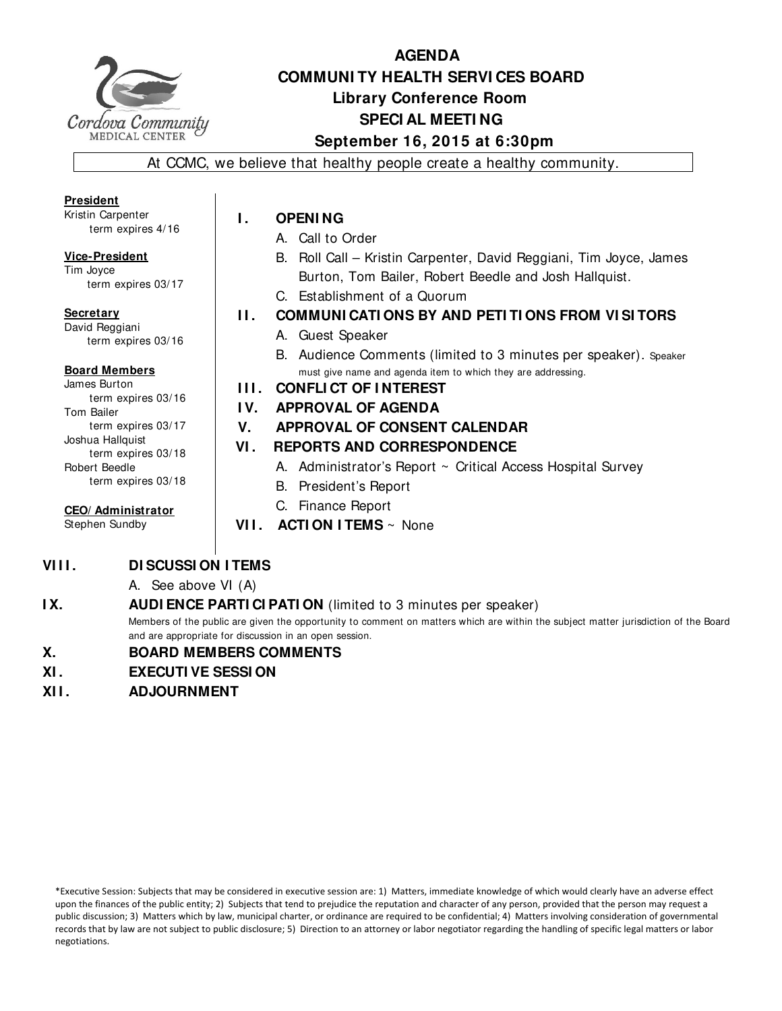

# **AGENDA COMMUNI TY HEALTH SERVI CES BOARD Library Conference Room SPECI AL MEETI NG September 16, 2015 at 6:30pm**

At CCMC, we believe that healthy people create a healthy community.

**President**  Kristin Carpenter term expires 4/16

**Vice-President**  Tim Joyce term expires 03/17

**Secretary** 

David Reggiani term expires 03/16

#### **Board Members**

James Burton term expires 03/16 Tom Bailer term expires 03/17 Joshua Hallquist term expires 03/18 Robert Beedle term expires 03/18

**CEO/ Administrator** 

Stephen Sundby

- **I. OPENING** 
	- A. Call to Order
	- B. Roll Call Kristin Carpenter, David Reggiani, Tim Joyce, James Burton, Tom Bailer, Robert Beedle and Josh Hallquist.
	- C. Establishment of a Quorum
- **II. COMMUNI CATI ONS BY AND PETI TI ONS FROM VI SI TORS** 
	- A. Guest Speaker
	- B. Audience Comments (limited to 3 minutes per speaker). Speaker must give name and agenda item to which they are addressing.

#### **I I I . CONFLI CT OF I NTEREST**

- **I V. APPROVAL OF AGENDA**
- **V. APPROVAL OF CONSENT CALENDAR**

#### **VI . REPORTS AND CORRESPONDENCE**

- A. Administrator's Report ~ Critical Access Hospital Survey
- B. President's Report
- C. Finance Report
- **VII. ACTION ITEMS** ~ None

## **VIII. DI SCUSSI ON I TEMS**

A. See above VI (A)

#### **IX.** AUDI ENCE PARTI CI PATI ON (limited to 3 minutes per speaker)

Members of the public are given the opportunity to comment on matters which are within the subject matter jurisdiction of the Board and are appropriate for discussion in an open session.

#### **X. BOARD MEMBERS COMMENTS**

- **XI . EXECUTI VE SESSI ON**
- **XI I . ADJOURNMENT**

\*Executive Session: Subjects that may be considered in executive session are: 1) Matters, immediate knowledge of which would clearly have an adverse effect upon the finances of the public entity; 2) Subjects that tend to prejudice the reputation and character of any person, provided that the person may request a public discussion; 3) Matters which by law, municipal charter, or ordinance are required to be confidential; 4) Matters involving consideration of governmental records that by law are not subject to public disclosure; 5) Direction to an attorney or labor negotiator regarding the handling of specific legal matters or labor negotiations.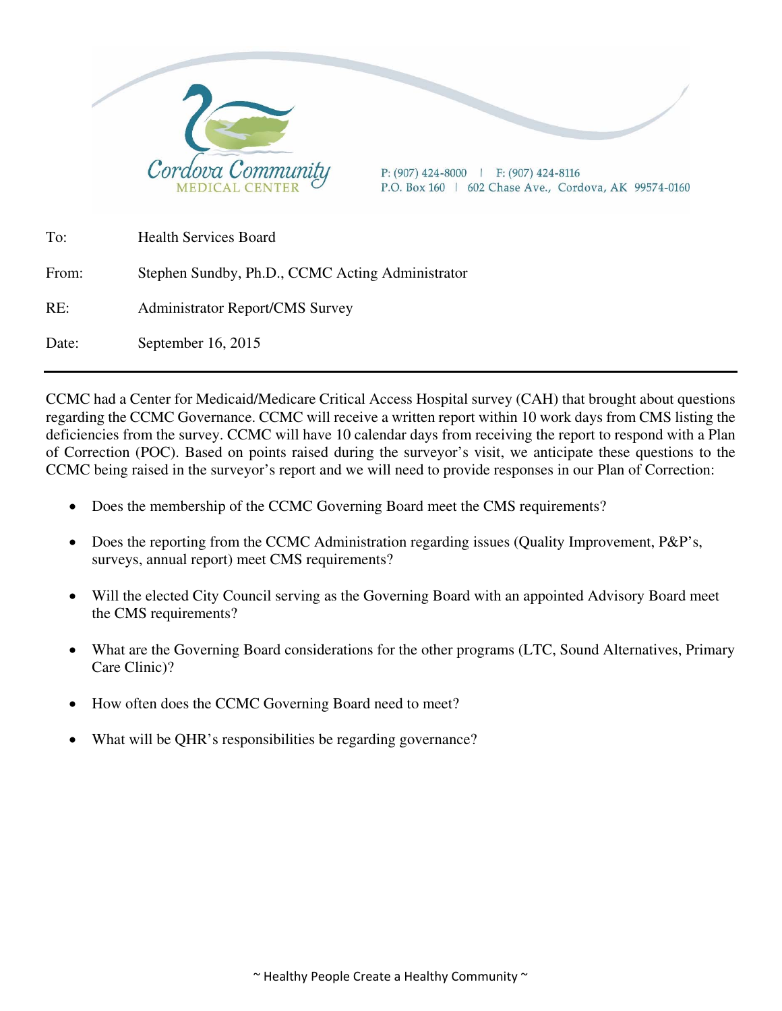

CCMC had a Center for Medicaid/Medicare Critical Access Hospital survey (CAH) that brought about questions regarding the CCMC Governance. CCMC will receive a written report within 10 work days from CMS listing the deficiencies from the survey. CCMC will have 10 calendar days from receiving the report to respond with a Plan of Correction (POC). Based on points raised during the surveyor's visit, we anticipate these questions to the CCMC being raised in the surveyor's report and we will need to provide responses in our Plan of Correction:

- Does the membership of the CCMC Governing Board meet the CMS requirements?
- Does the reporting from the CCMC Administration regarding issues (Quality Improvement, P&P's, surveys, annual report) meet CMS requirements?
- Will the elected City Council serving as the Governing Board with an appointed Advisory Board meet the CMS requirements?
- What are the Governing Board considerations for the other programs (LTC, Sound Alternatives, Primary Care Clinic)?
- How often does the CCMC Governing Board need to meet?
- What will be QHR's responsibilities be regarding governance?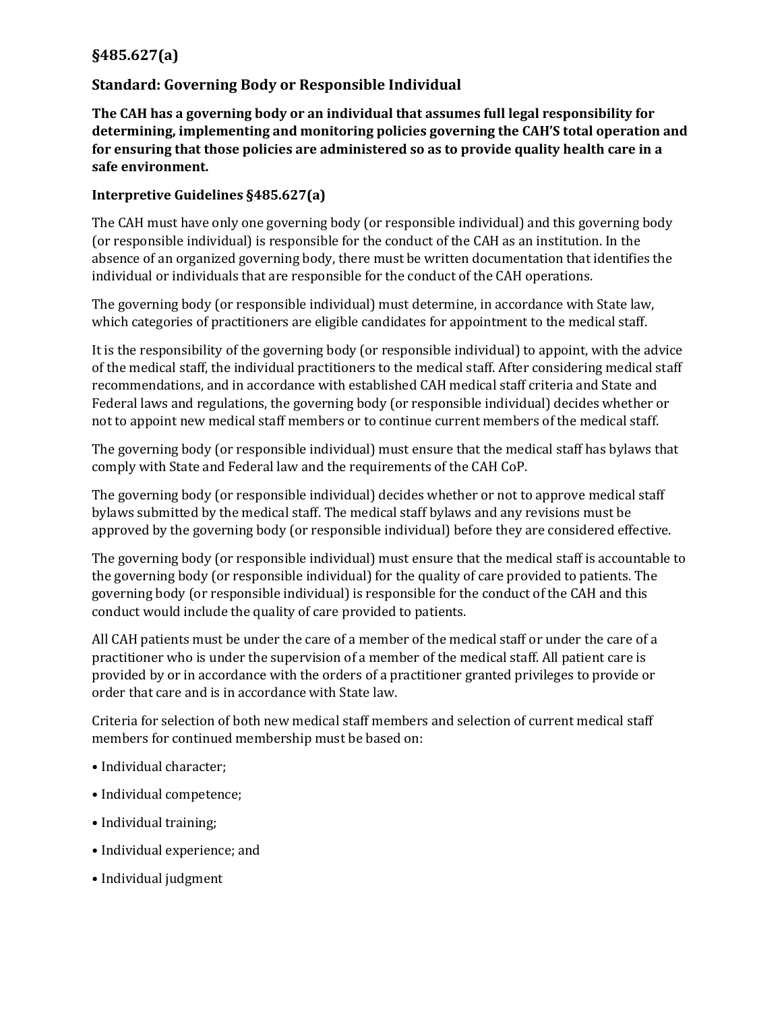### **§485.627(a)**

#### **Standard: Governing Body or Responsible Individual**

**The CAH has a governing body or an individual that assumes full legal responsibility for determining, implementing and monitoring policies governing the CAH'S total operation and for ensuring that those policies are administered so as to provide quality health care in a safe environment.** 

#### **Interpretive Guidelines §485.627(a)**

The CAH must have only one governing body (or responsible individual) and this governing body (or responsible individual) is responsible for the conduct of the CAH as an institution. In the absence of an organized governing body, there must be written documentation that identifies the individual or individuals that are responsible for the conduct of the CAH operations.

The governing body (or responsible individual) must determine, in accordance with State law, which categories of practitioners are eligible candidates for appointment to the medical staff.

It is the responsibility of the governing body (or responsible individual) to appoint, with the advice of the medical staff, the individual practitioners to the medical staff. After considering medical staff recommendations, and in accordance with established CAH medical staff criteria and State and Federal laws and regulations, the governing body (or responsible individual) decides whether or not to appoint new medical staff members or to continue current members of the medical staff.

The governing body (or responsible individual) must ensure that the medical staff has bylaws that comply with State and Federal law and the requirements of the CAH CoP.

The governing body (or responsible individual) decides whether or not to approve medical staff bylaws submitted by the medical staff. The medical staff bylaws and any revisions must be approved by the governing body (or responsible individual) before they are considered effective.

The governing body (or responsible individual) must ensure that the medical staff is accountable to the governing body (or responsible individual) for the quality of care provided to patients. The governing body (or responsible individual) is responsible for the conduct of the CAH and this conduct would include the quality of care provided to patients.

All CAH patients must be under the care of a member of the medical staff or under the care of a practitioner who is under the supervision of a member of the medical staff. All patient care is provided by or in accordance with the orders of a practitioner granted privileges to provide or order that care and is in accordance with State law.

Criteria for selection of both new medical staff members and selection of current medical staff members for continued membership must be based on:

- Individual character;
- Individual competence;
- Individual training;
- Individual experience; and
- Individual judgment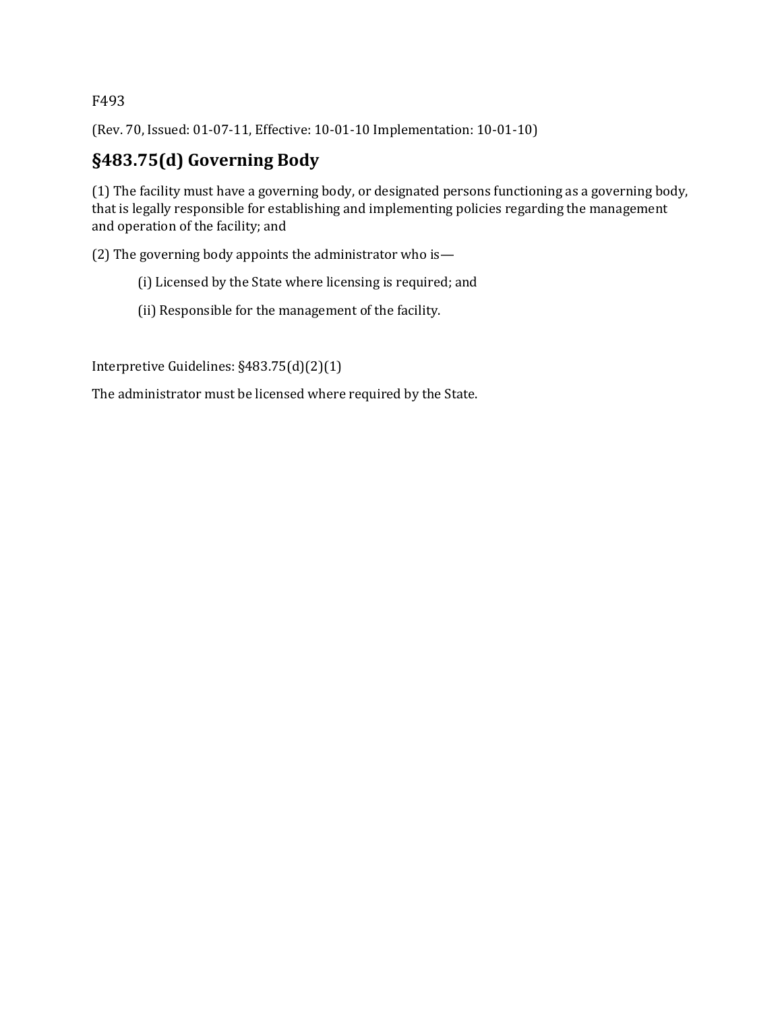F493

(Rev. 70, Issued: 01-07-11, Effective: 10-01-10 Implementation: 10-01-10)

# **§483.75(d) Governing Body**

(1) The facility must have a governing body, or designated persons functioning as a governing body, that is legally responsible for establishing and implementing policies regarding the management and operation of the facility; and

(2) The governing body appoints the administrator who is—

- (i) Licensed by the State where licensing is required; and
- (ii) Responsible for the management of the facility.

Interpretive Guidelines: §483.75(d)(2)(1)

The administrator must be licensed where required by the State.